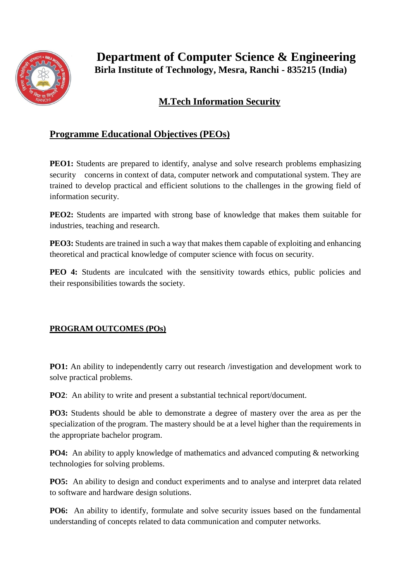

 **Department of Computer Science & Engineering Birla Institute of Technology, Mesra, Ranchi - 835215 (India)**

## **M.Tech Information Security**

## **Programme Educational Objectives (PEOs)**

**PEO1:** Students are prepared to identify, analyse and solve research problems emphasizing security concerns in context of data, computer network and computational system. They are trained to develop practical and efficient solutions to the challenges in the growing field of information security.

**PEO2:** Students are imparted with strong base of knowledge that makes them suitable for industries, teaching and research.

**PEO3:** Students are trained in such a way that makes them capable of exploiting and enhancing theoretical and practical knowledge of computer science with focus on security.

**PEO 4:** Students are inculcated with the sensitivity towards ethics, public policies and their responsibilities towards the society.

## **PROGRAM OUTCOMES (POs)**

**PO1:** An ability to independently carry out research /investigation and development work to solve practical problems.

**PO2**: An ability to write and present a substantial technical report/document.

**PO3:** Students should be able to demonstrate a degree of mastery over the area as per the specialization of the program. The mastery should be at a level higher than the requirements in the appropriate bachelor program.

**PO4:** An ability to apply knowledge of mathematics and advanced computing & networking technologies for solving problems.

**PO5:** An ability to design and conduct experiments and to analyse and interpret data related to software and hardware design solutions.

**PO6:** An ability to identify, formulate and solve security issues based on the fundamental understanding of concepts related to data communication and computer networks.